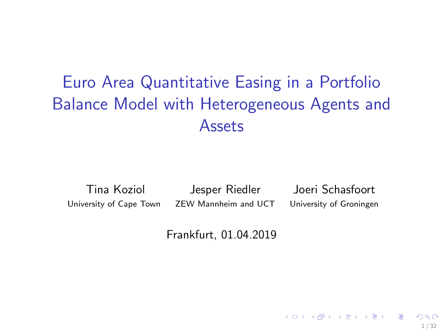# <span id="page-0-0"></span>Euro Area Quantitative Easing in a Portfolio Balance Model with Heterogeneous Agents and Assets

Tina Koziol Jesper Riedler Joeri Schasfoort University of Cape Town ZEW Mannheim and UCT University of Groningen

 $(1, 1)$   $(1, 1)$   $(1, 1)$   $(1, 1)$   $(1, 1)$   $(1, 1)$   $(1, 1)$   $(1, 1)$   $(1, 1)$   $(1, 1)$ 

1 / 32

 $QQ$ 

Frankfurt, 01.04.2019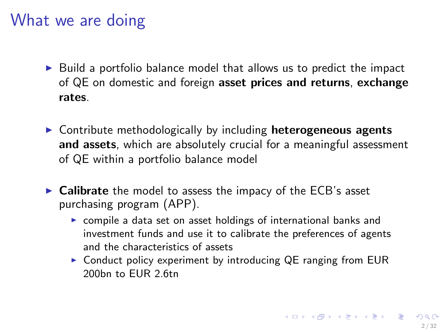### <span id="page-1-0"></span>What we are doing

- $\triangleright$  Build a portfolio balance model that allows us to predict the impact of QE on domestic and foreign asset prices and returns, exchange rates.
- $\triangleright$  Contribute methodologically by including **heterogeneous agents** and assets, which are absolutely crucial for a meaningful assessment of QE within a portfolio balance model
- $\triangleright$  Calibrate the model to assess the impacy of the ECB's asset purchasing program (APP).
	- $\triangleright$  compile a data set on asset holdings of international banks and investment funds and use it to calibrate the preferences of agents and the characteristics of assets
	- $\triangleright$  Conduct policy experiment by introducing QE ranging from EUR 200<sub>bn to FUR 2.6tn</sub>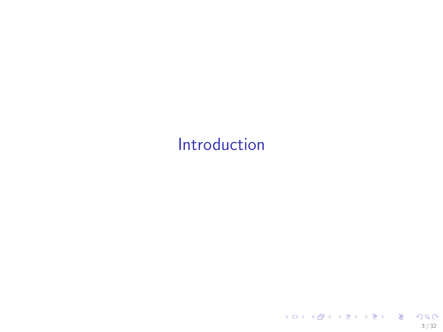# <span id="page-2-0"></span>[Introduction](#page-2-0)

3 / 32

KOX KOX KEX KEX E 1990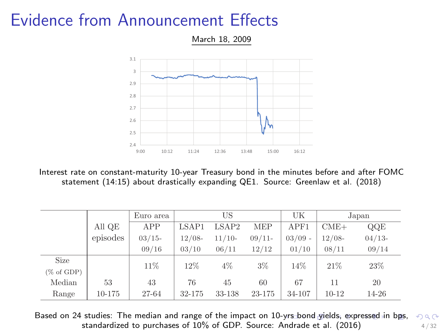## <span id="page-3-0"></span>Evidence from Announcement Effects



Interest rate on constant-maturity 10-year Treasury bond in the minutes before and after FOMC statement (14:15) about drastically expanding QE1. Source: Greenlaw et al. (2018)

|               |          | Euro area |          | US       |          | UK        |          | Japan    |
|---------------|----------|-----------|----------|----------|----------|-----------|----------|----------|
|               | All QE   | APP       | LSAP1    | LSAP2    | MEP      | APF1      | $CME+$   | QQE      |
|               | episodes | $03/15-$  | $12/08-$ | $11/10-$ | $09/11-$ | $03/09$ - | $12/08-$ | $04/13-$ |
|               |          | 09/16     | 03/10    | 06/11    | 12/12    | 01/10     | 08/11    | 09/14    |
| Size          |          | 11%       | 12%      | 4%       | $3\%$    | 14%       | 21%      | 23%      |
| $(\%$ of GDP) |          |           |          |          |          |           |          |          |
| Median        | 53       | 43        | 76       | 45       | 60       | 67        | 11       | 20       |
| Range         | 10-175   | 27-64     | 32-175   | 33-138   | 23-175   | 34-107    | $10-12$  | 14-26    |

Based on 24 studies: The median and range of the impact on 10[-yrs](#page-2-0) [bo](#page-4-0)[nd](#page-2-0) [yie](#page-3-0)[ld](#page-4-0)[s,](#page-1-0) [e](#page-2-0)[x](#page-5-0)[pr](#page-6-0)[es](#page-1-0)[se](#page-2-0)[d](#page-5-0) [in](#page-6-0) [b](#page-0-0)[ps,](#page-31-0)  $290$ standardized to purchases of  $10\%$  of GDP. Source: Andrade et al. (2016)  $4/32$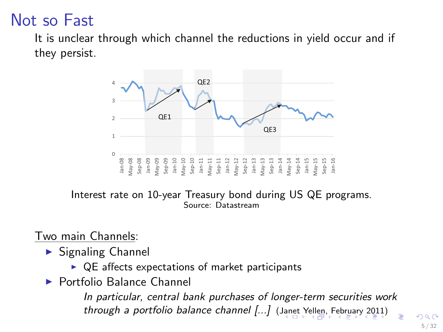# <span id="page-4-0"></span>Not so Fast

It is unclear through which channel the reductions in yield occur and if they persist.



Interest rate on 10-year Treasury bond during US QE programs. Source: Datastream

Two main Channels:

- $\blacktriangleright$  Signaling Channel
	- $\triangleright$  QE affects expectations of market participants
- ▶ Portfolio Balance Channel

In particular, central bank purchases of longer-term securities work through a portfolio balance channel [...] ([Jan](#page-3-0)e[t Y](#page-5-0)[el](#page-3-0)[len,](#page-4-0) [F](#page-5-0)[e](#page-1-0)[br](#page-2-0)[u](#page-5-0)[ary](#page-6-0) [2](#page-1-0)[0](#page-2-0)[1](#page-5-0)[1\)](#page-6-0)

5 / 32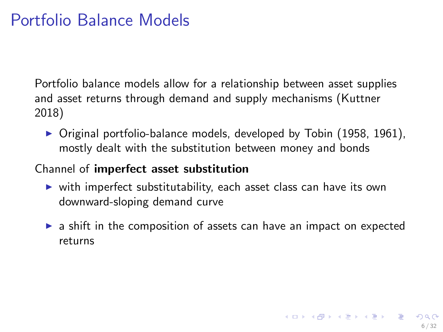## <span id="page-5-0"></span>Portfolio Balance Models

Portfolio balance models allow for a relationship between asset supplies and asset returns through demand and supply mechanisms (Kuttner 2018)

 $\triangleright$  Original portfolio-balance models, developed by Tobin (1958, 1961), mostly dealt with the substitution between money and bonds

#### Channel of imperfect asset substitution

- $\triangleright$  with imperfect substitutability, each asset class can have its own downward-sloping demand curve
- $\triangleright$  a shift in the composition of assets can have an impact on expected returns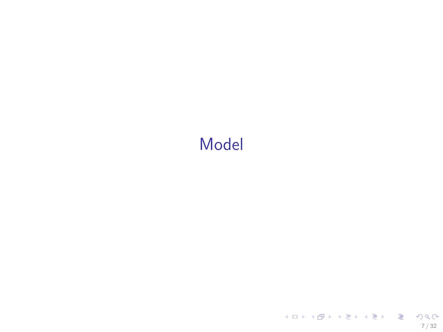# <span id="page-6-0"></span>[Model](#page-6-0)

7 / 32

KOX KOX KEX KEX E 1990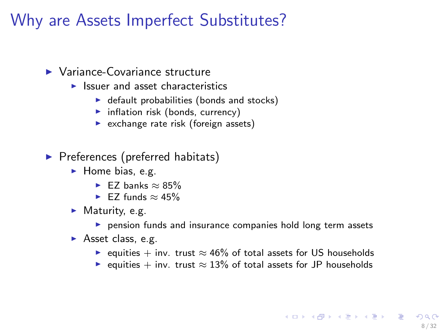## Why are Assets Imperfect Substitutes?

#### $\blacktriangleright$  Variance-Covariance structure

- $\blacktriangleright$  Issuer and asset characteristics
	- $\blacktriangleright$  default probabilities (bonds and stocks)
	- $\blacktriangleright$  inflation risk (bonds, currency)
	- $\blacktriangleright$  exchange rate risk (foreign assets)
- $\blacktriangleright$  Preferences (preferred habitats)
	- $\blacktriangleright$  Home bias, e.g.
		- $\blacktriangleright$  F7 banks  $\approx 85\%$
		- $\blacktriangleright$  F7 funds ≈ 45%
	- $\blacktriangleright$  Maturity, e.g.
		- $\triangleright$  pension funds and insurance companies hold long term assets
	- $\blacktriangleright$  Asset class, e.g.
		- $\triangleright$  equities + inv. trust  $\approx 46\%$  of total assets for US households
		- $\triangleright$  equities + inv. trust  $\approx 13\%$  of total assets for JP households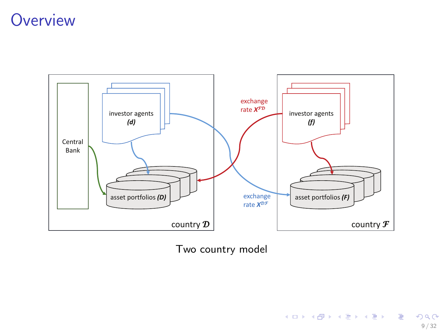### **Overview**



Two country model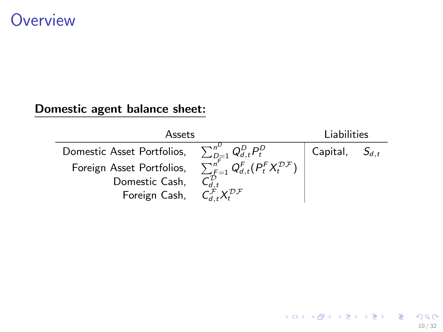### **Overview**

#### Domestic agent balance sheet:

| Assets                     |                                                                                                              | Liabilities |           |
|----------------------------|--------------------------------------------------------------------------------------------------------------|-------------|-----------|
| Domestic Asset Portfolios, | $\sum_{D=1}^{n^{\nu}} Q_{d,t}^{D} P_t^{D}$                                                                   | Capital,    | $S_{d,t}$ |
| Foreign Asset Portfolios.  | $\sum_{\mathit{F}=1}^{\mathit{n}^{\mathit{F}}} Q_{d,t}^{\mathit{F}}(P_{t}^{\mathit{F}}X_{t}^{\mathcal{DF}})$ |             |           |
| Domestic Cash,             |                                                                                                              |             |           |
| Foreign Cash,              | $\chi$ <sup>DF</sup>                                                                                         |             |           |

10 / 32

K ロ ▶ K 個 ▶ K 重 ▶ K 重 ▶ │ 重 │ 約 9 0 €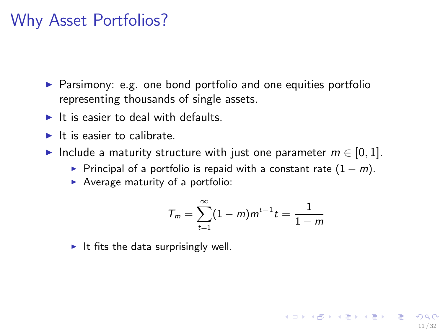#### Why Asset Portfolios?

- $\triangleright$  Parsimony: e.g. one bond portfolio and one equities portfolio representing thousands of single assets.
- $\blacktriangleright$  It is easier to deal with defaults.
- $\blacktriangleright$  It is easier to calibrate.
- ► Include a maturity structure with just one parameter  $m \in [0, 1]$ .
	- Principal of a portfolio is repaid with a constant rate  $(1 m)$ .
	- $\blacktriangleright$  Average maturity of a portfolio:

$$
T_m = \sum_{t=1}^{\infty} (1-m)m^{t-1}t = \frac{1}{1-m}
$$

11 / 32

K ロ ▶ K @ ▶ K 할 ▶ K 할 ▶ → 할 → ⊙Q C

It fits the data surprisingly well.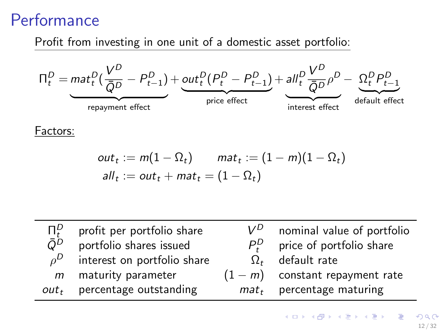## Performance

Profit from investing in one unit of a domestic asset portfolio:



Factors:

$$
out_t := m(1 - \Omega_t) \qquad mat_t := (1 - m)(1 - \Omega_t)
$$
  

$$
all_t := out_t + mat_t = (1 - \Omega_t)
$$

| $\Pi^D_{t}$ | profit per portfolio share     | $V^D$         | nominal value of portfolio        |
|-------------|--------------------------------|---------------|-----------------------------------|
| $\bar{O}^D$ | portfolio shares issued        | $P_{\cdot}^D$ | price of portfolio share          |
| $\rho^D$    | interest on portfolio share    |               | $\Omega_t$ default rate           |
|             | $m$ maturity parameter         |               | $(1 - m)$ constant repayment rate |
|             | $out_t$ percentage outstanding |               | $mat_t$ percentage maturing       |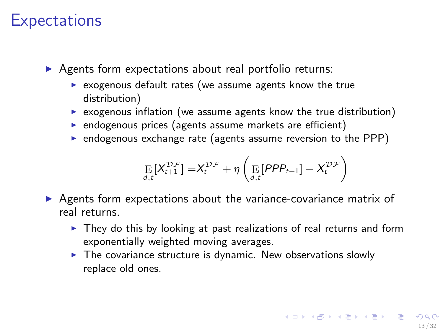#### **Expectations**

 $\triangleright$  Agents form expectations about real portfolio returns:

- $\triangleright$  exogenous default rates (we assume agents know the true distribution)
- $\triangleright$  exogenous inflation (we assume agents know the true distribution)
- $\triangleright$  endogenous prices (agents assume markets are efficient)
- $\triangleright$  endogenous exchange rate (agents assume reversion to the PPP)

$$
\underset{d,t}{\mathrm{E}}\left[X_{t+1}^{\mathcal{D}\mathcal{F}}\right]=X_{t}^{\mathcal{D}\mathcal{F}}+\eta\left(\underset{d,t}{\mathrm{E}}\left[PPP_{t+1}\right]-X_{t}^{\mathcal{D}\mathcal{F}}\right)
$$

- $\triangleright$  Agents form expectations about the variance-covariance matrix of real returns.
	- $\triangleright$  They do this by looking at past realizations of real returns and form exponentially weighted moving averages.
	- $\blacktriangleright$  The covariance structure is dynamic. New observations slowly replace old ones.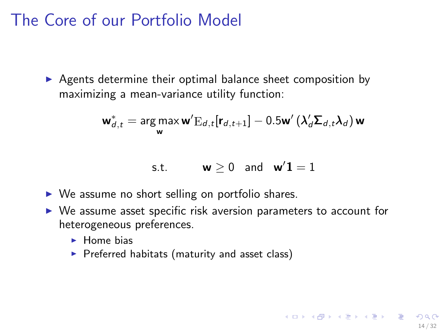## The Core of our Portfolio Model

 $\triangleright$  Agents determine their optimal balance sheet composition by maximizing a mean-variance utility function:

$$
\mathbf{w}_{d,t}^* = \mathop{\arg\max}\limits_{\mathbf{w}} \mathbf{w}' \mathrm{E}_{d,t}[\mathbf{r}_{d,t+1}] - 0.5\mathbf{w}' \left( \lambda_d' \mathbf{\Sigma}_{d,t} \lambda_d \right) \mathbf{w}
$$

$$
\text{s.t.} \qquad \quad \textbf{w} \geq 0 \quad \text{and} \quad \textbf{w}'\textbf{1} = 1
$$

14 / 32

K ロ ▶ K @ ▶ K 할 ▶ K 할 ▶ 이 할 → 9 Q Q

- $\triangleright$  We assume no short selling on portfolio shares.
- $\triangleright$  We assume asset specific risk aversion parameters to account for heterogeneous preferences.
	- $\blacktriangleright$  Home bias
	- $\blacktriangleright$  Preferred habitats (maturity and asset class)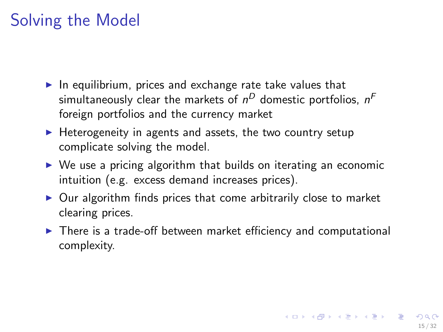# Solving the Model

- $\blacktriangleright$  In equilibrium, prices and exchange rate take values that simultaneously clear the markets of  $n^D$  domestic portfolios,  $n^{\digamma}$ foreign portfolios and the currency market
- $\blacktriangleright$  Heterogeneity in agents and assets, the two country setup complicate solving the model.
- $\triangleright$  We use a pricing algorithm that builds on iterating an economic intuition (e.g. excess demand increases prices).
- $\triangleright$  Our algorithm finds prices that come arbitrarily close to market clearing prices.
- $\triangleright$  There is a trade-off between market efficiency and computational complexity.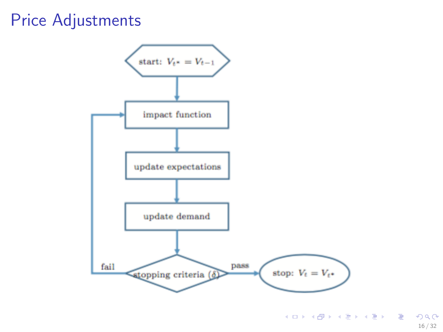## Price Adjustments



メロメ メタメ メミメ メミメン きっ  $298$ 16 / 32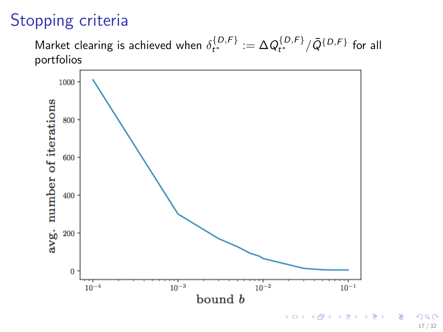# Stopping criteria

Market clearing is achieved when  $\delta_{t^*}^{\{D,F\}}:=\Delta Q_{t^*}^{\{D,F\}}/\bar{Q}^{\{D,F\}}$  for all portfolios



 $\Omega$ 17 / 32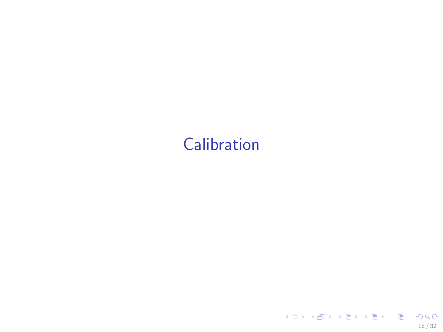# <span id="page-17-0"></span>**[Calibration](#page-17-0)**

18 / 32

K ロ > K 레 > K 필 > K 필 > - 필 - K 이익(N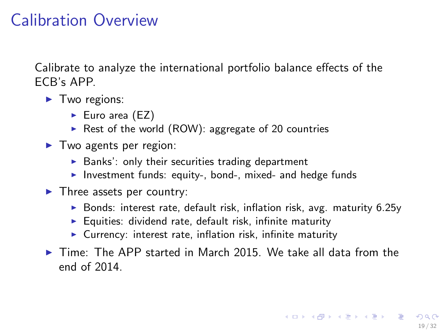## Calibration Overview

Calibrate to analyze the international portfolio balance effects of the ECB's APP.

- $\blacktriangleright$  Two regions:
	- $\blacktriangleright$  Euro area (EZ)
	- Rest of the world (ROW): aggregate of 20 countries
- $\blacktriangleright$  Two agents per region:
	- $\blacktriangleright$  Banks': only their securities trading department
	- Investment funds: equity-, bond-, mixed- and hedge funds
- $\blacktriangleright$  Three assets per country:
	- $\triangleright$  Bonds: interest rate, default risk, inflation risk, avg. maturity 6.25y
	- $\blacktriangleright$  Equities: dividend rate, default risk, infinite maturity
	- $\triangleright$  Currency: interest rate, inflation risk, infinite maturity
- $\triangleright$  Time: The APP started in March 2015. We take all data from the end of 2014.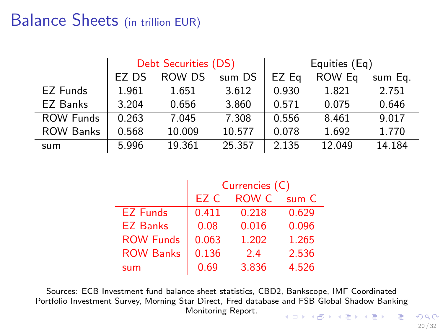## Balance Sheets (in trillion EUR)

|                  | Debt Securities (DS) |        |        | Equities (Eq) |        |         |
|------------------|----------------------|--------|--------|---------------|--------|---------|
|                  | EZ DS                | ROW DS | sum DS | EZ Eg         | ROW Eq | sum Eq. |
| EZ Funds         | 1.961                | 1.651  | 3.612  | 0.930         | 1.821  | 2.751   |
| EZ Banks         | 3.204                | 0.656  | 3.860  | 0.571         | 0.075  | 0.646   |
| <b>ROW Funds</b> | 0.263                | 7.045  | 7.308  | 0.556         | 8.461  | 9.017   |
| <b>ROW Banks</b> | 0.568                | 10.009 | 10.577 | 0.078         | 1.692  | 1.770   |
| sum              | 5.996                | 19.361 | 25.357 | 2.135         | 12.049 | 14.184  |

|                  | Currencies (C) |       |       |  |
|------------------|----------------|-------|-------|--|
|                  | EZ C           | ROW C | sum C |  |
| <b>EZ Funds</b>  | 0.411          | 0.218 | 0.629 |  |
| <b>EZ Banks</b>  | 0.08           | 0.016 | 0.096 |  |
| <b>ROW Funds</b> | 0.063          | 1.202 | 1.265 |  |
| <b>ROW Banks</b> | 0.136          | 2.4   | 2.536 |  |
| sum              | 0.69           | 3.836 | 4.526 |  |

Sources: ECB Investment fund balance sheet statistics, CBD2, Bankscope, IMF Coordinated Portfolio Investment Survey, Morning Star Direct, Fred database and FSB Global Shadow Banking Monitoring Report.  $A(D) = A(D) + A(D) + A(D) = D$ 

 $2Q$ 20 / 32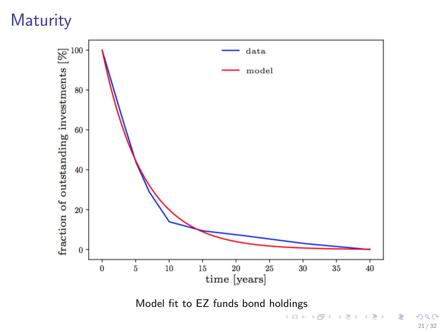# **Maturity**



 $299$ 21 / 32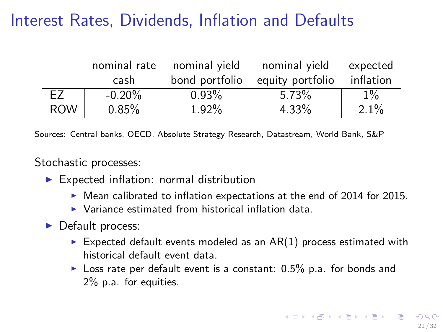# Interest Rates, Dividends, Inflation and Defaults

|            | nominal rate | nominal vield  | nominal vield    | expected  |
|------------|--------------|----------------|------------------|-----------|
|            | cash         | bond portfolio | equity portfolio | inflation |
| F7         | $-0.20\%$    | $0.93\%$       | $5.73\%$         | $1\%$     |
| <b>ROW</b> | 0.85%        | 1.92%          | 4.33%            | 2.1%      |

Sources: Central banks, OECD, Absolute Strategy Research, Datastream, World Bank, S&P

Stochastic processes:

- $\blacktriangleright$  Expected inflation: normal distribution
	- $\blacktriangleright$  Mean calibrated to inflation expectations at the end of 2014 for 2015.
	- $\triangleright$  Variance estimated from historical inflation data.
- $\blacktriangleright$  Default process:
	- Expected default events modeled as an  $AR(1)$  process estimated with historical default event data.
	- $\triangleright$  Loss rate per default event is a constant: 0.5% p.a. for bonds and 2% p.a. for equities.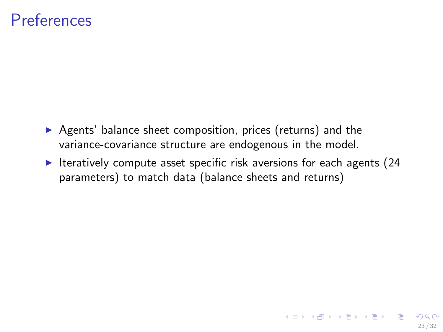#### **Preferences**

- $\triangleright$  Agents' balance sheet composition, prices (returns) and the variance-covariance structure are endogenous in the model.
- $\blacktriangleright$  Iteratively compute asset specific risk aversions for each agents (24 parameters) to match data (balance sheets and returns)

23 / 32

イロト イ団 トイヨト イヨト 一番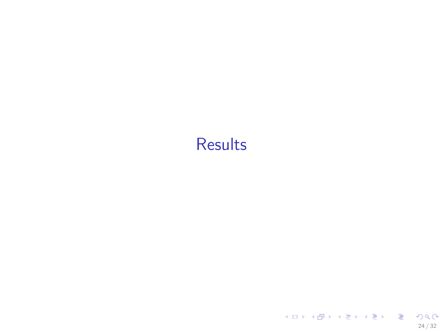# <span id="page-23-0"></span>**[Results](#page-23-0)**

24 / 32

KOX KOX KEX KEX E 1990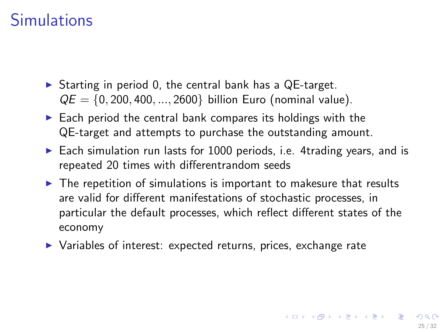## **Simulations**

- $\triangleright$  Starting in period 0, the central bank has a QE-target.  $QE = \{0, 200, 400, ..., 2600\}$  billion Euro (nominal value).
- $\triangleright$  Each period the central bank compares its holdings with the QE-target and attempts to purchase the outstanding amount.
- $\triangleright$  Each simulation run lasts for 1000 periods, i.e. 4trading years, and is repeated 20 times with differentrandom seeds
- $\triangleright$  The repetition of simulations is important to makesure that results are valid for different manifestations of stochastic processes, in particular the default processes, which reflect different states of the economy
- ▶ Variables of interest: expected returns, prices, exchange rate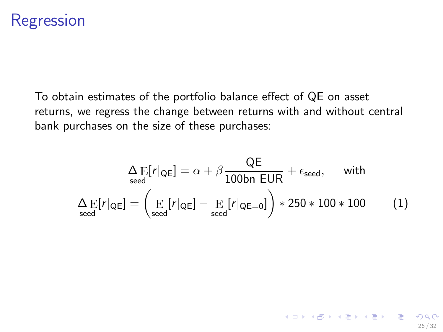### Regression

To obtain estimates of the portfolio balance effect of QE on asset returns, we regress the change between returns with and without central bank purchases on the size of these purchases:

$$
\Delta E[r|\varphi_E] = \alpha + \beta \frac{QE}{100bn \text{ EUR}} + \epsilon_{\text{seed}}, \quad \text{with}
$$

$$
\Delta E[r|\varphi_E] = \left(\frac{E}{\text{seed}}[r|\varphi_E] - \frac{E}{\text{seed}}[r|\varphi_{E=0}]\right) * 250 * 100 * 100 \quad (1)
$$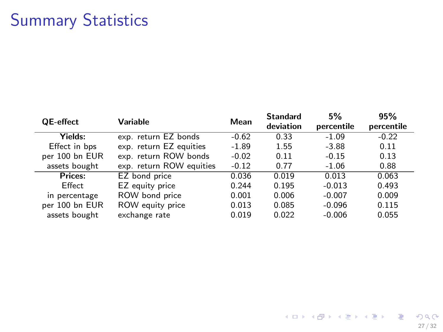## Summary Statistics

| <b>QE-effect</b> | Variable                 | Mean    | <b>Standard</b><br>deviation | 5%<br>percentile | 95%<br>percentile |
|------------------|--------------------------|---------|------------------------------|------------------|-------------------|
| Yields:          | exp. return EZ bonds     | $-0.62$ | 0.33                         | $-1.09$          | $-0.22$           |
| Effect in bps    | exp. return EZ equities  | $-1.89$ | 1.55                         | $-3.88$          | 0.11              |
| per 100 bn EUR   | exp. return ROW bonds    | $-0.02$ | 0.11                         | $-0.15$          | 0.13              |
| assets bought    | exp. return ROW equities | $-0.12$ | 0.77                         | $-1.06$          | 0.88              |
| Prices:          | EZ bond price            | 0.036   | 0.019                        | 0.013            | 0.063             |
| Effect           | EZ equity price          | 0.244   | 0.195                        | $-0.013$         | 0.493             |
| in percentage    | ROW bond price           | 0.001   | 0.006                        | $-0.007$         | 0.009             |
| per 100 bn EUR   | ROW equity price         | 0.013   | 0.085                        | $-0.096$         | 0.115             |
| assets bought    | exchange rate            | 0.019   | 0.022                        | $-0.006$         | 0.055             |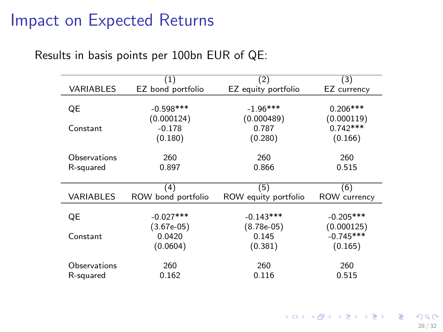#### Impact on Expected Returns

#### Results in basis points per 100bn EUR of QE:

|                  | (1)                | (2)                  | (3)          |
|------------------|--------------------|----------------------|--------------|
| <b>VARIABLES</b> | EZ bond portfolio  | EZ equity portfolio  | EZ currency  |
|                  |                    |                      |              |
| QE               | $-0.598$ ***       | $-1.96***$           | $0.206***$   |
|                  | (0.000124)         | (0.000489)           | (0.000119)   |
| Constant         | $-0.178$           | 0.787                | $0.742***$   |
|                  | (0.180)            | (0.280)              | (0.166)      |
|                  |                    |                      |              |
| Observations     | 260                | 260                  | 260          |
| R-squared        | 0.897              | 0.866                | 0.515        |
|                  |                    |                      |              |
|                  | (4)                | (5)                  | (6)          |
| VARIABLES        | ROW bond portfolio | ROW equity portfolio | ROW currency |
|                  |                    |                      |              |
| QE               | $-0.027***$        | $-0.143***$          | $-0.205***$  |
|                  | (3.67e-05)         | $(8.78e-05)$         | (0.000125)   |
| Constant         | 0.0420             | 0.145                | $-0.745***$  |
|                  | (0.0604)           | (0.381)              | (0.165)      |
|                  |                    |                      |              |
| Observations     | 260                | 260                  | 260          |
| R-squared        | 0.162              | 0.116                | 0.515        |

K ロ X x (個) X x を X x を X = 2 → 9 Q Q →

28 / 32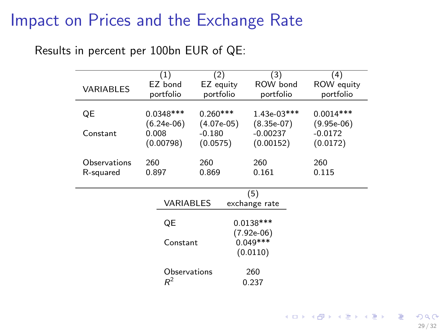### Impact on Prices and the Exchange Rate

#### Results in percent per 100bn EUR of QE:

|                  | (1)                  | (2)                    | (3)                   | (4)                            |
|------------------|----------------------|------------------------|-----------------------|--------------------------------|
| <b>VARIABLES</b> | EZ bond<br>portfolio | EZ equity<br>portfolio | ROW bond<br>portfolio | <b>ROW</b> equity<br>portfolio |
| QE               | $0.0348***$          | $0.260***$             | $1.43e-03***$         | $0.0014***$                    |
|                  | $(6.24e-06)$         | $(4.07e-05)$           | $(8.35e-07)$          | $(9.95e-06)$                   |
| Constant         | 0.008                | $-0.180$               | $-0.00237$            | $-0.0172$                      |
|                  | (0.00798)            | (0.0575)               | (0.00152)             | (0.0172)                       |
|                  |                      |                        |                       |                                |
| Observations     | 260                  | 260                    | 260                   | 260                            |
| R-squared        | 0.897                | 0.869                  | 0.161                 | 0.115                          |
|                  |                      |                        | (5)                   |                                |
|                  | <b>VARIABLES</b>     |                        | exchange rate         |                                |
|                  |                      |                        |                       |                                |
|                  | QE                   |                        | $0.0138***$           |                                |
|                  |                      | (7.92e-06)             |                       |                                |
|                  | Constant             |                        | $0.049***$            |                                |
|                  |                      |                        | (0.0110)              |                                |
|                  | Observations         |                        | 260                   |                                |
|                  | $R^2$                |                        | 0.237                 |                                |

KID KAR KERKER E 1990 29 / 32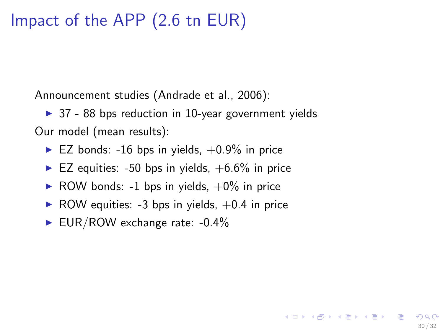## Impact of the APP (2.6 tn EUR)

Announcement studies (Andrade et al., 2006):

 $\triangleright$  37 - 88 bps reduction in 10-year government yields Our model (mean results):

- $\blacktriangleright$  EZ bonds: -16 bps in yields,  $+0.9\%$  in price
- $\blacktriangleright$  EZ equities: -50 bps in yields,  $+6.6\%$  in price
- ROW bonds: -1 bps in yields,  $+0\%$  in price
- $\triangleright$  ROW equities: -3 bps in yields,  $+0.4$  in price

30 / 32

イロン イ団ン イミン イミン 一番

EUR/ROW exchange rate:  $-0.4\%$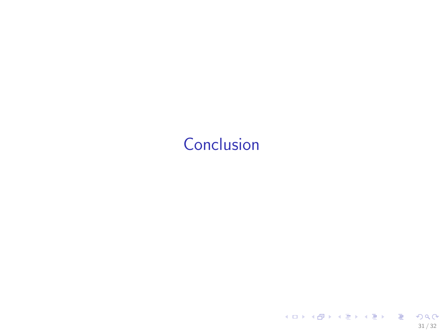# <span id="page-30-0"></span>[Conclusion](#page-30-0)

31 / 32

KOX KOX KEX KEX E 1990